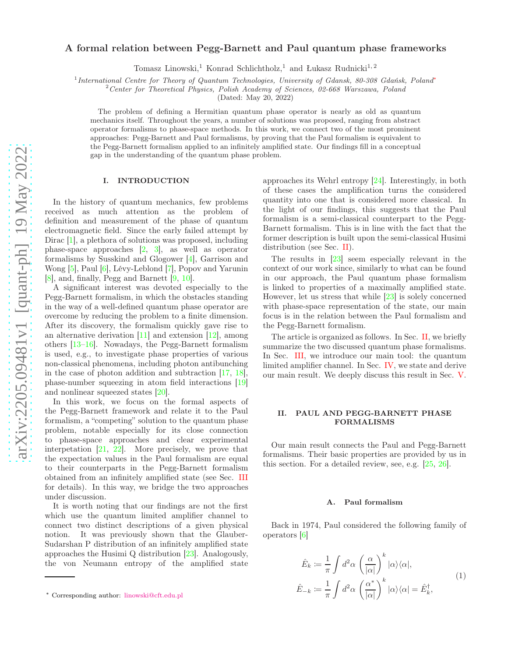# A formal relation between Pegg-Barnett and Paul quantum phase frameworks

Tomasz Linowski,<sup>1</sup> Konrad Schlichtholz,<sup>1</sup> and Łukasz Rudnicki<sup>1,2</sup>

1 International Centre for Theory of Quantum Technologies, University of Gdansk, 80-308 Gdańsk, Poland[∗](#page-0-0)

<sup>2</sup> Center for Theoretical Physics, Polish Academy of Sciences, 02-668 Warszawa, Poland

(Dated: May 20, 2022)

The problem of defining a Hermitian quantum phase operator is nearly as old as quantum mechanics itself. Throughout the years, a number of solutions was proposed, ranging from abstract operator formalisms to phase-space methods. In this work, we connect two of the most prominent approaches: Pegg-Barnett and Paul formalisms, by proving that the Paul formalism is equivalent to the Pegg-Barnett formalism applied to an infinitely amplified state. Our findings fill in a conceptual gap in the understanding of the quantum phase problem.

## I. INTRODUCTION

In the history of quantum mechanics, few problems received as much attention as the problem of definition and measurement of the phase of quantum electromagnetic field. Since the early failed attempt by Dirac [\[1](#page-5-0)], a plethora of solutions was proposed, including phase-space approaches [\[2,](#page-5-1) [3\]](#page-5-2), as well as operator formalisms by Susskind and Glogower [\[4](#page-5-3)], Garrison and Wong [\[5\]](#page-5-4), Paul [\[6](#page-5-5)], Lévy-Leblond [\[7\]](#page-5-6), Popov and Yarunin [\[8\]](#page-5-7), and, finally, Pegg and Barnett [\[9](#page-5-8), [10](#page-5-9)].

A significant interest was devoted especially to the Pegg-Barnett formalism, in which the obstacles standing in the way of a well-defined quantum phase operator are overcome by reducing the problem to a finite dimension. After its discovery, the formalism quickly gave rise to an alternative derivation [\[11](#page-5-10)] and extension [\[12](#page-6-0)], among others [\[13](#page-6-1)[–16\]](#page-6-2). Nowadays, the Pegg-Barnett formalism is used, e.g., to investigate phase properties of various non-classical phenomena, including photon antibunching in the case of photon addition and subtraction  $[17, 18]$  $[17, 18]$ , phase-number squeezing in atom field interactions [\[19](#page-6-5)] and nonlinear squeezed states [\[20\]](#page-6-6).

In this work, we focus on the formal aspects of the Pegg-Barnett framework and relate it to the Paul formalism, a "competing" solution to the quantum phase problem, notable especially for its close connection to phase-space approaches and clear experimental interpetation [\[21,](#page-6-7) [22\]](#page-6-8). More precisely, we prove that the expectation values in the Paul formalism are equal to their counterparts in the Pegg-Barnett formalism obtained from an infinitely amplified state (see Sec. [III](#page-2-0) for details). In this way, we bridge the two approaches under discussion.

It is worth noting that our findings are not the first which use the quantum limited amplifier channel to connect two distinct descriptions of a given physical notion. It was previously shown that the Glauber-Sudarshan P distribution of an infinitely amplified state approaches the Husimi Q distribution [\[23](#page-6-9)]. Analogously, the von Neumann entropy of the amplified state approaches its Wehrl entropy [\[24\]](#page-6-10). Interestingly, in both of these cases the amplification turns the considered quantity into one that is considered more classical. In the light of our findings, this suggests that the Paul formalism is a semi-classical counterpart to the Pegg-Barnett formalism. This is in line with the fact that the former description is built upon the semi-classical Husimi distribution (see Sec. [II\)](#page-0-1).

The results in [\[23](#page-6-9)] seem especially relevant in the context of our work since, similarly to what can be found in our approach, the Paul quantum phase formalism is linked to properties of a maximally amplified state. However, let us stress that while [\[23](#page-6-9)] is solely concerned with phase-space representation of the state, our main focus is in the relation between the Paul formalism and the Pegg-Barnett formalism.

The article is organized as follows. In Sec. [II,](#page-0-1) we briefly summarize the two discussed quantum phase formalisms. In Sec. [III,](#page-2-0) we introduce our main tool: the quantum limited amplifier channel. In Sec. [IV,](#page-2-1) we state and derive our main result. We deeply discuss this result in Sec. [V.](#page-3-0)

### <span id="page-0-1"></span>II. PAUL AND PEGG-BARNETT PHASE FORMALISMS

Our main result connects the Paul and Pegg-Barnett formalisms. Their basic properties are provided by us in this section. For a detailed review, see, e.g. [\[25](#page-6-11), [26\]](#page-6-12).

#### <span id="page-0-2"></span>A. Paul formalism

Back in 1974, Paul considered the following family of operators [\[6\]](#page-5-5)

$$
\hat{E}_k := \frac{1}{\pi} \int d^2 \alpha \left( \frac{\alpha}{|\alpha|} \right)^k |\alpha\rangle\langle\alpha|,
$$
\n
$$
\hat{E}_{-k} := \frac{1}{\pi} \int d^2 \alpha \left( \frac{\alpha^*}{|\alpha|} \right)^k |\alpha\rangle\langle\alpha| = \hat{E}_k^{\dagger},
$$
\n(1)

<span id="page-0-0"></span><sup>∗</sup> Corresponding author: [linowski@cft.edu.pl](mailto:linowski@cft.edu.pl)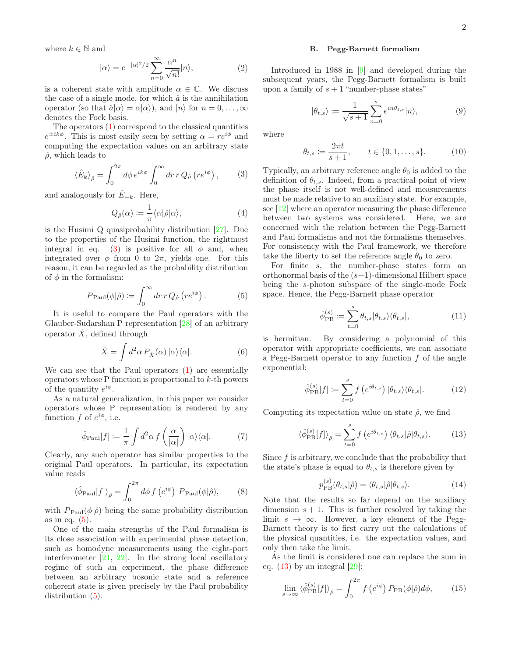where  $k \in \mathbb{N}$  and

$$
|\alpha\rangle = e^{-|\alpha|^2/2} \sum_{n=0}^{\infty} \frac{\alpha^n}{\sqrt{n!}} |n\rangle,
$$
 (2)

is a coherent state with amplitude  $\alpha \in \mathbb{C}$ . We discuss the case of a single mode, for which  $\hat{a}$  is the annihilation operator (so that  $\hat{a}|\alpha\rangle = \alpha|\alpha\rangle$ ), and  $|n\rangle$  for  $n = 0, \ldots, \infty$ denotes the Fock basis.

The operators [\(1\)](#page-0-2) correspond to the classical quantities  $e^{\pm ik\phi}$ . This is most easily seen by setting  $\alpha = re^{i\phi}$  and computing the expectation values on an arbitrary state  $\hat{\rho}$ , which leads to

$$
\langle \hat{E}_k \rangle_{\hat{\rho}} = \int_0^{2\pi} d\phi \, e^{ik\phi} \int_0^{\infty} dr \, r \, Q_{\hat{\rho}} \left( r e^{i\phi} \right), \tag{3}
$$

and analogously for  $E_{-k}$ . Here,

$$
Q_{\hat{\rho}}(\alpha) := \frac{1}{\pi} \langle \alpha | \hat{\rho} | \alpha \rangle, \tag{4}
$$

is the Husimi Q quasiprobability distribution [\[27](#page-6-13)]. Due to the properties of the Husimi function, the rightmost integral in eq. [\(3\)](#page-1-0) is positive for all  $\phi$  and, when integrated over  $\phi$  from 0 to  $2\pi$ , yields one. For this reason, it can be regarded as the probability distribution of  $\phi$  in the formalism:

$$
P_{\text{Paul}}(\phi|\hat{\rho}) \coloneqq \int_0^\infty dr \, r \, Q_{\hat{\rho}} \left( r e^{i\phi} \right). \tag{5}
$$

It is useful to compare the Paul operators with the Glauber-Sudarshan P representation [\[28\]](#page-6-14) of an arbitrary operator  $\hat{X}$ , defined through

$$
\hat{X} = \int d^2\alpha \, P_{\hat{X}}(\alpha) \, |\alpha\rangle\langle\alpha|.\tag{6}
$$

We can see that the Paul operators [\(1\)](#page-0-2) are essentially operators whose P function is proportional to k-th powers of the quantity  $e^{i\phi}$ .

As a natural generalization, in this paper we consider operators whose P representation is rendered by any function  $f$  of  $e^{i\phi}$ , i.e.

$$
\hat{\phi}_{\text{Paul}}[f] := \frac{1}{\pi} \int d^2 \alpha \, f\left(\frac{\alpha}{|\alpha|}\right) |\alpha\rangle\langle\alpha|.\tag{7}
$$

Clearly, any such operator has similar properties to the original Paul operators. In particular, its expectation value reads

$$
\langle \hat{\phi}_{\text{Paul}}[f] \rangle_{\hat{\rho}} = \int_0^{2\pi} d\phi \, f\left(e^{i\phi}\right) \, P_{\text{Paul}}(\phi|\hat{\rho}), \tag{8}
$$

with  $P_{\text{Paul}}(\phi|\hat{\rho})$  being the same probability distribution as in eq.  $(5)$ .

One of the main strengths of the Paul formalism is its close association with experimental phase detection, such as homodyne measurements using the eight-port interferometer [\[21](#page-6-7), [22\]](#page-6-8). In the strong local oscillatory regime of such an experiment, the phase difference between an arbitrary bosonic state and a reference coherent state is given precisely by the Paul probability distribution [\(5\)](#page-1-1).

#### B. Pegg-Barnett formalism

<span id="page-1-6"></span>Introduced in 1988 in [\[9](#page-5-8)] and developed during the subsequent years, the Pegg-Barnett formalism is built upon a family of  $s + 1$  "number-phase states"

<span id="page-1-5"></span><span id="page-1-4"></span>
$$
|\theta_{t,s}\rangle := \frac{1}{\sqrt{s+1}} \sum_{n=0}^{s} e^{in\theta_{t,s}} |n\rangle, \tag{9}
$$

where

$$
\theta_{t,s} \coloneqq \frac{2\pi t}{s+1}, \qquad t \in \{0, 1, \dots, s\}. \tag{10}
$$

<span id="page-1-7"></span><span id="page-1-0"></span>Typically, an arbitrary reference angle  $\theta_0$  is added to the definition of  $\theta_{t,s}$ . Indeed, from a practical point of view the phase itself is not well-defined and measurements must be made relative to an auxiliary state. For example, see [\[12](#page-6-0)] where an operator measuring the phase difference between two systems was considered. Here, we are concerned with the relation between the Pegg-Barnett and Paul formalisms and not the formalisms themselves. For consistency with the Paul framework, we therefore take the liberty to set the reference angle  $\theta_0$  to zero.

<span id="page-1-1"></span>For finite s, the number-phase states form an orthonormal basis of the  $(s+1)$ -dimensional Hilbert space being the s-photon subspace of the single-mode Fock space. Hence, the Pegg-Barnett phase operator

$$
\hat{\phi}_{\rm PB}^{(s)} := \sum_{t=0}^s \theta_{t,s} |\theta_{t,s}\rangle \langle \theta_{t,s}|,\tag{11}
$$

is hermitian. By considering a polynomial of this operator with appropriate coefficients, we can associate a Pegg-Barnett operator to any function  $f$  of the angle exponential:

<span id="page-1-8"></span>
$$
\hat{\phi}_{\text{PB}}^{(s)}[f] := \sum_{t=0}^{s} f\left(e^{i\theta_{t,s}}\right) |\theta_{t,s}\rangle\langle\theta_{t,s}|.
$$
 (12)

Computing its expectation value on state  $\hat{\rho}$ , we find

$$
\langle \hat{\phi}_{\text{PB}}^{(s)}[f] \rangle_{\hat{\rho}} = \sum_{t=0}^{s} f\left(e^{i\theta_{t,s}}\right) \langle \theta_{t,s} | \hat{\rho} | \theta_{t,s} \rangle. \tag{13}
$$

Since  $f$  is arbitrary, we conclude that the probability that the state's phase is equal to  $\theta_{t,s}$  is therefore given by

<span id="page-1-2"></span>
$$
p_{\rm PB}^{(s)}(\theta_{t,s}|\hat{\rho}) = \langle \theta_{t,s} | \hat{\rho} | \theta_{t,s} \rangle.
$$
 (14)

<span id="page-1-3"></span>Note that the results so far depend on the auxiliary dimension  $s + 1$ . This is further resolved by taking the limit  $s \to \infty$ . However, a key element of the Pegg-Barnett theory is to first carry out the calculations of the physical quantities, i.e. the expectation values, and only then take the limit.

As the limit is considered one can replace the sum in eq.  $(13)$  by an integral  $[29]$ :

$$
\lim_{s \to \infty} \langle \hat{\phi}_{\text{PB}}^{(s)}[f] \rangle_{\hat{\rho}} = \int_0^{2\pi} f\left(e^{i\phi}\right) P_{\text{PB}}(\phi|\hat{\rho}) d\phi,\tag{15}
$$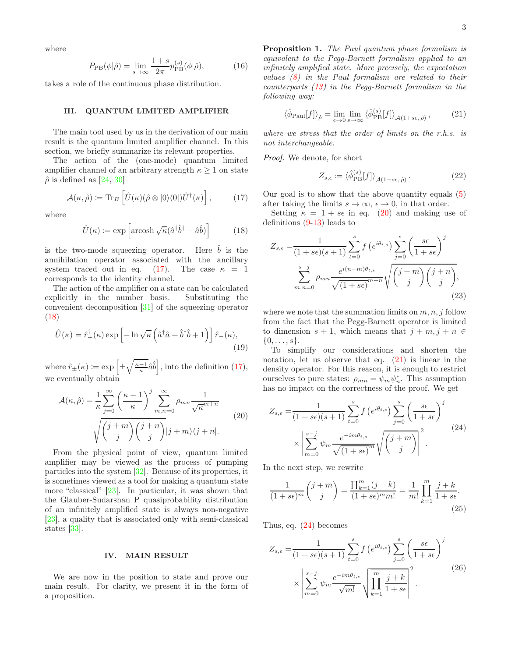where

<span id="page-2-8"></span>
$$
P_{\rm PB}(\phi|\hat{\rho}) = \lim_{s \to \infty} \frac{1+s}{2\pi} p_{\rm PB}^{(s)}(\phi|\hat{\rho}),\tag{16}
$$

takes a role of the continuous phase distribution.

#### <span id="page-2-0"></span>III. QUANTUM LIMITED AMPLIFIER

The main tool used by us in the derivation of our main result is the quantum limited amplifier channel. In this section, we briefly summarize its relevant properties.

The action of the (one-mode) quantum limited amplifier channel of an arbitrary strength  $\kappa \geq 1$  on state  $\hat{\rho}$  is defined as [\[24,](#page-6-10) [30\]](#page-6-16)

$$
\mathcal{A}(\kappa,\hat{\rho}) \coloneqq \mathrm{Tr}_{B}\left[\hat{U}(\kappa)(\hat{\rho} \otimes |0\rangle\langle0|)\hat{U}^{\dagger}(\kappa)\right],\tag{17}
$$

where

$$
\hat{U}(\kappa) := \exp\left[\operatorname{arcosh}\sqrt{\kappa}(\hat{a}^{\dagger}\hat{b}^{\dagger} - \hat{a}\hat{b})\right] \tag{18}
$$

is the two-mode squeezing operator. Here  $\hat{b}$  is the annihilation operator associated with the ancillary system traced out in eq. [\(17\)](#page-2-2). The case  $\kappa = 1$ corresponds to the identity channel.

The action of the amplifier on a state can be calculated explicitly in the number basis. Substituting the convenient decomposition [\[31](#page-6-17)] of the squeezing operator [\(18\)](#page-2-3)

$$
\hat{U}(\kappa) = \hat{r}_{+}^{\dagger}(\kappa) \exp\left[-\ln\sqrt{\kappa}\left(\hat{a}^{\dagger}\hat{a} + \hat{b}^{\dagger}\hat{b} + 1\right)\right]\hat{r}_{-}(\kappa),\tag{19}
$$

where  $\hat{r}_{\pm}(\kappa) \coloneqq \exp\left[\pm\sqrt{\frac{\kappa-1}{\kappa}}\hat{a}\hat{b}\right]$ , into the definition [\(17\)](#page-2-2), we eventually obtain

$$
\mathcal{A}(\kappa,\hat{\rho}) = \frac{1}{\kappa} \sum_{j=0}^{\infty} \left(\frac{\kappa-1}{\kappa}\right)^j \sum_{m,n=0}^{\infty} \rho_{mn} \frac{1}{\sqrt{\kappa}^{m+n}} \qquad (20)
$$

$$
\sqrt{\binom{j+m}{j}} \binom{j+n}{j} |j+m\rangle \langle j+n|.
$$

From the physical point of view, quantum limited amplifier may be viewed as the process of pumping particles into the system [\[32](#page-6-18)]. Because of its properties, it is sometimes viewed as a tool for making a quantum state more "classical" [\[23\]](#page-6-9). In particular, it was shown that the Glauber-Sudarshan P quasiprobability distribution of an infinitely amplified state is always non-negative [\[23\]](#page-6-9), a quality that is associated only with semi-classical states [\[33](#page-6-19)].

## <span id="page-2-1"></span>IV. MAIN RESULT

We are now in the position to state and prove our main result. For clarity, we present it in the form of a proposition.

<span id="page-2-9"></span>Proposition 1. The Paul quantum phase formalism is equivalent to the Pegg-Barnett formalism applied to an infinitely amplified state. More precisely, the expectation values [\(8\)](#page-1-3) in the Paul formalism are related to their counterparts [\(13\)](#page-1-2) in the Pegg-Barnett formalism in the following way:

$$
\langle \hat{\phi}_{\text{Paul}}[f] \rangle_{\hat{\rho}} = \lim_{\epsilon \to 0} \lim_{s \to \infty} \langle \hat{\phi}_{\text{PB}}^{(s)}[f] \rangle_{\mathcal{A}(1+s\epsilon,\hat{\rho})},\tag{21}
$$

where we stress that the order of limits on the r.h.s. is not interchangeable.

Proof. We denote, for short

<span id="page-2-7"></span><span id="page-2-5"></span>
$$
Z_{s,\epsilon} \coloneqq \langle \hat{\phi}_{\text{PB}}^{(s)}[f] \rangle_{\mathcal{A}(1+s\epsilon,\hat{\rho})}. \tag{22}
$$

<span id="page-2-2"></span>Our goal is to show that the above quantity equals [\(5\)](#page-1-1) after taking the limits  $s \to \infty$ ,  $\epsilon \to 0$ , in that order.

<span id="page-2-3"></span>Setting  $\kappa = 1 + s\epsilon$  in eq. [\(20\)](#page-2-4) and making use of definitions [\(9](#page-1-4)[-13\)](#page-1-2) leads to

$$
Z_{s,\epsilon} = \frac{1}{(1+s\epsilon)(s+1)} \sum_{t=0}^{s} f\left(e^{i\theta_{t,s}}\right) \sum_{j=0}^{s} \left(\frac{s\epsilon}{1+s\epsilon}\right)^j
$$

$$
\sum_{m,n=0}^{s-j} \rho_{mn} \frac{e^{i(n-m)\theta_{t,s}}}{\sqrt{(1+s\epsilon)}^{m+n}} \sqrt{\binom{j+m}{j}\binom{j+n}{j}},\tag{23}
$$

where we note that the summation limits on  $m, n, j$  follow from the fact that the Pegg-Barnett operator is limited to dimension  $s + 1$ , which means that  $j + m$ ,  $j + n \in$  $\{0, \ldots, s\}.$ 

To simplify our considerations and shorten the notation, let us observe that eq.  $(21)$  is linear in the density operator. For this reason, it is enough to restrict ourselves to pure states:  $\rho_{mn} = \psi_m \psi_n^*$ . This assumption has no impact on the correctness of the proof. We get

<span id="page-2-6"></span><span id="page-2-4"></span>
$$
Z_{s,\epsilon} = \frac{1}{(1+s\epsilon)(s+1)} \sum_{t=0}^{s} f\left(e^{i\theta_{t,s}}\right) \sum_{j=0}^{s} \left(\frac{s\epsilon}{1+s\epsilon}\right)^j
$$
  
 
$$
\times \left| \sum_{m=0}^{s-j} \psi_m \frac{e^{-im\theta_{t,s}}}{\sqrt{(1+s\epsilon)^m}} \sqrt{\binom{j+m}{j}} \right|^2.
$$
 (24)

In the next step, we rewrite

$$
\frac{1}{(1+s\epsilon)^m} \binom{j+m}{j} = \frac{\prod_{k=1}^m (j+k)}{(1+s\epsilon)^m m!} = \frac{1}{m!} \prod_{k=1}^m \frac{j+k}{1+s\epsilon}.
$$
\n(25)

Thus, eq. [\(24\)](#page-2-6) becomes

$$
Z_{s,\epsilon} = \frac{1}{(1+s\epsilon)(s+1)} \sum_{t=0}^{s} f\left(e^{i\theta_{t,s}}\right) \sum_{j=0}^{s} \left(\frac{s\epsilon}{1+s\epsilon}\right)^j
$$

$$
\times \left| \sum_{m=0}^{s-j} \psi_m \frac{e^{-im\theta_{t,s}}}{\sqrt{m!}} \sqrt{\prod_{k=1}^{m} \frac{j+k}{1+s\epsilon}} \right|^2.
$$
(26)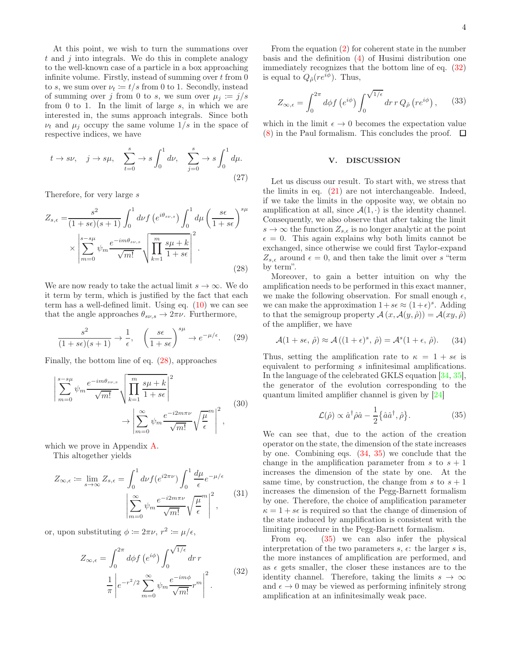At this point, we wish to turn the summations over  $t$  and  $j$  into integrals. We do this in complete analogy to the well-known case of a particle in a box approaching infinite volume. Firstly, instead of summing over  $t$  from  $0$ to s, we sum over  $\nu_t := t/s$  from 0 to 1. Secondly, instead of summing over j from 0 to s, we sum over  $\mu_j := j/s$ from 0 to 1. In the limit of large  $s$ , in which we are interested in, the sums approach integrals. Since both  $\nu_t$  and  $\mu_j$  occupy the same volume  $1/s$  in the space of respective indices, we have

$$
t \to s\nu
$$
,  $j \to s\mu$ ,  $\sum_{t=0}^{s} \to s \int_{0}^{1} d\nu$ ,  $\sum_{j=0}^{s} \to s \int_{0}^{1} d\mu$ . (27)

Therefore, for very large s

$$
Z_{s,\epsilon} = \frac{s^2}{(1+s\epsilon)(s+1)} \int_0^1 d\nu f\left(e^{i\theta_{s\nu,s}}\right) \int_0^1 d\mu \left(\frac{s\epsilon}{1+s\epsilon}\right)^{s\mu} \times \left|\sum_{m=0}^{s-s\mu} \psi_m \frac{e^{-im\theta_{s\nu,s}}}{\sqrt{m!}} \sqrt{\prod_{k=1}^m \frac{s\mu+k}{1+s\epsilon}}\right|^2.
$$
\n(28)

We are now ready to take the actual limit  $s \to \infty$ . We do it term by term, which is justified by the fact that each term has a well-defined limit. Using eq. [\(10\)](#page-1-5) we can see that the angle approaches  $\theta_{s\nu,s} \to 2\pi\nu$ . Furthermore,

$$
\frac{s^2}{(1+s\epsilon)(s+1)} \to \frac{1}{\epsilon}, \quad \left(\frac{s\epsilon}{1+s\epsilon}\right)^{s\mu} \to e^{-\mu/\epsilon}.\tag{29}
$$

Finally, the bottom line of eq. [\(28\)](#page-3-1), approaches

$$
\left| \sum_{m=0}^{s-s\mu} \psi_m \frac{e^{-im\theta_{s\nu,s}}}{\sqrt{m!}} \sqrt{\prod_{k=1}^m \frac{s\mu+k}{1+s\epsilon}} \right|^2
$$
\n
$$
\to \left| \sum_{m=0}^\infty \psi_m \frac{e^{-i2m\pi\nu}}{\sqrt{m!}} \sqrt{\frac{\mu}{\epsilon}}^m \right|^2,
$$
\n(30)

which we prove in Appendix [A.](#page-6-20)

This altogether yields

$$
Z_{\infty,\epsilon} := \lim_{s \to \infty} Z_{s,\epsilon} = \int_0^1 d\nu f(e^{i2\pi\nu}) \int_0^1 \frac{d\mu}{\epsilon} e^{-\mu/\epsilon}
$$

$$
\left| \sum_{m=0}^\infty \psi_m \frac{e^{-i2m\pi\nu}}{\sqrt{m!}} \sqrt{\frac{\mu}{\epsilon}}^m \right|^2,
$$
(31)

or, upon substituting  $\phi \coloneqq 2\pi\nu, r^2 \coloneqq \mu/\epsilon$ ,

$$
Z_{\infty,\epsilon} = \int_0^{2\pi} d\phi f \left(e^{i\phi}\right) \int_0^{\sqrt{1/\epsilon}} dr \, r
$$

$$
\frac{1}{\pi} \left| e^{-r^2/2} \sum_{m=0}^{\infty} \psi_m \frac{e^{-im\phi}}{\sqrt{m!}} r^m \right|^2. \tag{32}
$$

From the equation [\(2\)](#page-1-6) for coherent state in the number basis and the definition [\(4\)](#page-1-7) of Husimi distribution one immediately recognizes that the bottom line of eq. [\(32\)](#page-3-2) is equal to  $Q_{\hat{\rho}}(re^{i\phi})$ . Thus,

$$
Z_{\infty,\epsilon} = \int_0^{2\pi} d\phi f\left(e^{i\phi}\right) \int_0^{\sqrt{1/\epsilon}} dr \, r \, Q_{\hat{\rho}}\left(re^{i\phi}\right),\qquad(33)
$$

which in the limit  $\epsilon \to 0$  becomes the expectation value  $(8)$  in the Paul formalism. This concludes the proof.  $\Box$ 

### <span id="page-3-0"></span>V. DISCUSSION

Let us discuss our result. To start with, we stress that the limits in eq. [\(21\)](#page-2-5) are not interchangeable. Indeed, if we take the limits in the opposite way, we obtain no amplification at all, since  $\mathcal{A}(1, \cdot)$  is the identity channel. Consequently, we also observe that after taking the limit  $s \to \infty$  the function  $Z_{s,\epsilon}$  is no longer analytic at the point  $\epsilon = 0$ . This again explains why both limits cannot be exchanged, since otherwise we could first Taylor-expand  $Z_{s,\epsilon}$  around  $\epsilon = 0$ , and then take the limit over s "term" by term".

<span id="page-3-1"></span>Moreover, to gain a better intuition on why the amplification needs to be performed in this exact manner, we make the following observation. For small enough  $\epsilon$ , we can make the approximation  $1+s\epsilon \approx (1+\epsilon)^s$ . Adding to that the semigroup property  $\mathcal{A} (x, \mathcal{A}(y, \hat{\rho})) = \mathcal{A}(xy, \hat{\rho})$ of the amplifier, we have

$$
\mathcal{A}(1+s\epsilon, \hat{\rho}) \approx \mathcal{A}\left((1+\epsilon)^s, \hat{\rho}\right) = \mathcal{A}^s(1+\epsilon, \hat{\rho}). \tag{34}
$$

Thus, setting the amplification rate to  $\kappa = 1 + s\epsilon$  is equivalent to performing s infinitesimal amplifications. In the language of the celebrated GKLS equation [\[34](#page-6-21), [35\]](#page-6-22), the generator of the evolution corresponding to the quantum limited amplifier channel is given by [\[24](#page-6-10)]

<span id="page-3-4"></span><span id="page-3-3"></span>
$$
\mathcal{L}(\hat{\rho}) \propto \hat{a}^{\dagger} \hat{\rho} \hat{a} - \frac{1}{2} \{\hat{a} \hat{a}^{\dagger}, \hat{\rho}\}.
$$
 (35)

<span id="page-3-5"></span>We can see that, due to the action of the creation operator on the state, the dimension of the state increases by one. Combining eqs. [\(34,](#page-3-3) [35\)](#page-3-4) we conclude that the change in the amplification parameter from s to  $s + 1$ increases the dimension of the state by one. At the same time, by construction, the change from s to  $s + 1$ increases the dimension of the Pegg-Barnett formalism by one. Therefore, the choice of amplification parameter  $\kappa = 1 + s\epsilon$  is required so that the change of dimension of the state induced by amplification is consistent with the limiting procedure in the Pegg-Barnett formalism.

<span id="page-3-2"></span>From eq. [\(35\)](#page-3-4) we can also infer the physical interpretation of the two parameters  $s, \epsilon$ : the larger s is, the more instances of amplification are performed, and as  $\epsilon$  gets smaller, the closer these instances are to the identity channel. Therefore, taking the limits  $s \to \infty$ and  $\epsilon \to 0$  may be viewed as performing infinitely strong amplification at an infinitesimally weak pace.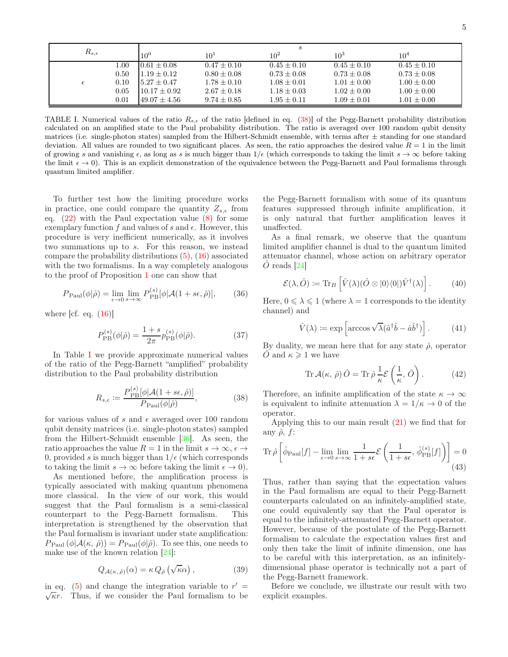| $R_{s,\epsilon}$ |          | S                 |                 |                 |                 |                 |
|------------------|----------|-------------------|-----------------|-----------------|-----------------|-----------------|
|                  |          | $10^{0}$          | $10^{1}$        | $10^{2}$        | $10^{3}$        | 10 <sup>4</sup> |
|                  | $1.00\,$ | $0.61 \pm 0.08$   | $0.47 \pm 0.10$ | $0.45 \pm 0.10$ | $0.45 \pm 0.10$ | $0.45 \pm 0.10$ |
|                  | 0.50     | $1.19 + 0.12$     | $0.80 \pm 0.08$ | $0.73 \pm 0.08$ | $0.73 \pm 0.08$ | $0.73 \pm 0.08$ |
| $\epsilon$       | 0.10     | $15.27 + 0.47$    | $1.78 \pm 0.10$ | $1.08 \pm 0.01$ | $1.01 + 0.00$   | $1.00 \pm 0.00$ |
|                  | 0.05     | $10.17 \pm 0.92$  | $2.67 \pm 0.18$ | $1.18 \pm 0.03$ | $1.02 \pm 0.00$ | $1.00 \pm 0.00$ |
|                  | 0.01     | $149.07 \pm 4.56$ | $9.74 \pm 0.85$ | $1.95 \pm 0.11$ | $1.09 \pm 0.01$ | $1.01 \pm 0.00$ |

<span id="page-4-1"></span>TABLE I. Numerical values of the ratio  $R_{s,\epsilon}$  of the ratio [defined in eq. [\(38\)](#page-4-0)] of the Pegg-Barnett probability distribution calculated on an amplified state to the Paul probability distribution. The ratio is averaged over 100 random qubit density matrices (i.e. single-photon states) sampled from the Hilbert-Schmidt ensemble, with terms after  $\pm$  standing for one standard deviation. All values are rounded to two significant places. As seen, the ratio approaches the desired value  $R = 1$  in the limit of growing s and vanishing  $\epsilon$ , as long as s is much bigger than  $1/\epsilon$  (which corresponds to taking the limit  $s \to \infty$  before taking the limit  $\epsilon \to 0$ ). This is an explicit demonstration of the equivalence between the Pegg-Barnett and Paul formalisms through quantum limited amplifier.

To further test how the limiting procedure works in practice, one could compare the quantity  $Z_{s,\epsilon}$  from eq.  $(22)$  with the Paul expectation value  $(8)$  for some exemplary function f and values of s and  $\epsilon$ . However, this procedure is very inefficient numerically, as it involves two summations up to s. For this reason, we instead compare the probability distributions [\(5\)](#page-1-1), [\(16\)](#page-2-8) associated with the two formalisms. In a way completely analogous to the proof of Proposition [1](#page-2-9) one can show that

$$
P_{\text{Paul}}(\phi|\hat{\rho}) = \lim_{\epsilon \to 0} \lim_{s \to \infty} P_{\text{PB}}^{(s)}[\phi|\mathcal{A}(1+s\epsilon,\hat{\rho})],\tag{36}
$$

where  $\left[cf. \text{eq.} (16)\right]$  $\left[cf. \text{eq.} (16)\right]$  $\left[cf. \text{eq.} (16)\right]$ 

$$
P_{\rm PB}^{(s)}(\phi|\hat{\rho}) = \frac{1+s}{2\pi} p_{\rm PB}^{(s)}(\phi|\hat{\rho}).
$$
 (37)

[I](#page-4-1)n Table I we provide approximate numerical values of the ratio of the Pegg-Barnett "amplified" probability distribution to the Paul probability distribution

$$
R_{s,\epsilon} := \frac{P_{\rm PB}^{(s)}[\phi | \mathcal{A}(1+s\epsilon,\hat{\rho})]}{P_{\rm Paul}(\phi | \hat{\rho})},\tag{38}
$$

for various values of s and  $\epsilon$  averaged over 100 random qubit density matrices (i.e. single-photon states) sampled from the Hilbert-Schmidt ensemble [\[36\]](#page-6-23). As seen, the ratio approaches the value  $R = 1$  in the limit  $s \to \infty$ ,  $\epsilon \to$ 0, provided s is much bigger than  $1/\epsilon$  (which corresponds to taking the limit  $s \to \infty$  before taking the limit  $\epsilon \to 0$ ).

As mentioned before, the amplification process is typically associated with making quantum phenomena more classical. In the view of our work, this would suggest that the Paul formalism is a semi-classical counterpart to the Pegg-Barnett formalism. This interpretation is strengthened by the observation that the Paul formalism is invariant under state amplification:  $P_{\text{Paul}}(\phi | \mathcal{A}(\kappa, \hat{\rho})) = P_{\text{Paul}}(\phi | \hat{\rho}).$  To see this, one needs to make use of the known relation [\[24\]](#page-6-10):

$$
Q_{\mathcal{A}(\kappa,\,\hat{\rho})}(\alpha) = \kappa \, Q_{\hat{\rho}}\left(\sqrt{\kappa}\alpha\right),\tag{39}
$$

in eq. [\(5\)](#page-1-1) and change the integration variable to  $r' = \sqrt{\kappa}r$ . Thus, if we consider the Paul formalism to be  $\sqrt{\kappa}r$ . Thus, if we consider the Paul formalism to be

the Pegg-Barnett formalism with some of its quantum features suppressed through infinite amplification, it is only natural that further amplification leaves it unaffected.

As a final remark, we observe that the quantum limited amplifier channel is dual to the quantum limited attenuator channel, whose action on arbitrary operator  $\hat{O}$  reads [\[24](#page-6-10)]

$$
\mathcal{E}(\lambda, \hat{O}) \coloneqq \text{Tr}_B \left[ \hat{V}(\lambda) (\hat{O} \otimes |0\rangle\langle 0|) \hat{V}^\dagger(\lambda) \right]. \tag{40}
$$

Here,  $0 \le \lambda \le 1$  (where  $\lambda = 1$  corresponds to the identity channel) and

$$
\hat{V}(\lambda) \coloneqq \exp\left[\arccos\sqrt{\lambda}(\hat{a}^\dagger \hat{b} - \hat{a}\hat{b}^\dagger)\right].\tag{41}
$$

By duality, we mean here that for any state  $\hat{\rho}$ , operator  $\hat{O}$  and  $\kappa \geq 1$  we have

$$
\operatorname{Tr} \mathcal{A}(\kappa, \hat{\rho}) \hat{O} = \operatorname{Tr} \hat{\rho} \frac{1}{\kappa} \mathcal{E} \left( \frac{1}{\kappa}, \hat{O} \right). \tag{42}
$$

<span id="page-4-0"></span>Therefore, an infinite amplification of the state  $\kappa \to \infty$ is equivalent to infinite attenuation  $\lambda = 1/\kappa \to 0$  of the operator.

Applying this to our main result [\(21\)](#page-2-5) we find that for any  $\hat{\rho}$ , f:

$$
\operatorname{Tr}\hat{\rho}\left[\hat{\phi}_{\text{Paul}}[f] - \lim_{\epsilon \to 0} \lim_{s \to \infty} \frac{1}{1 + s\epsilon} \mathcal{E}\left(\frac{1}{1 + s\epsilon}, \hat{\phi}_{\text{PB}}^{(s)}[f]\right)\right] = 0
$$
\n(43)

Thus, rather than saying that the expectation values in the Paul formalism are equal to their Pegg-Barnett counterparts calculated on an infinitely-amplified state, one could equivalently say that the Paul operator is equal to the infinitely-attenuated Pegg-Barnett operator. However, because of the postulate of the Pegg-Barnett formalism to calculate the expectation values first and only then take the limit of infinite dimension, one has to be careful with this interpretation, as an infinitelydimensional phase operator is technically not a part of the Pegg-Barnett framework.

Before we conclude, we illustrate our result with two explicit examples.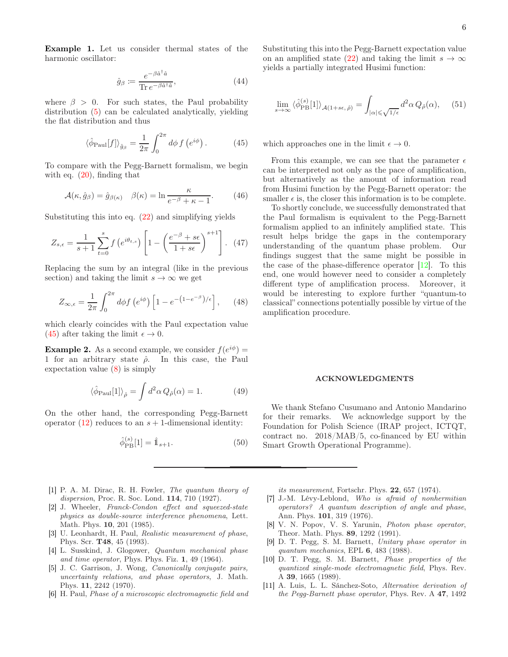Example 1. Let us consider thermal states of the harmonic oscillator:

$$
\hat{g}_{\beta} := \frac{e^{-\beta \hat{a}^{\dagger}\hat{a}}}{\text{Tr } e^{-\beta \hat{a}^{\dagger}\hat{a}}},\tag{44}
$$

where  $\beta > 0$ . For such states, the Paul probability distribution [\(5\)](#page-1-1) can be calculated analytically, yielding the flat distribution and thus

$$
\langle \hat{\phi}_{\text{Paul}}[f] \rangle_{\hat{g}_{\beta}} = \frac{1}{2\pi} \int_0^{2\pi} d\phi \, f\left(e^{i\phi}\right). \tag{45}
$$

To compare with the Pegg-Barnett formalism, we begin with eq.  $(20)$ , finding that

$$
\mathcal{A}(\kappa, \hat{g}_{\beta}) = \hat{g}_{\beta(\kappa)} \quad \beta(\kappa) = \ln \frac{\kappa}{e^{-\beta} + \kappa - 1}.
$$
 (46)

Substituting this into eq. [\(22\)](#page-2-7) and simplifying yields

$$
Z_{s,\epsilon} = \frac{1}{s+1} \sum_{t=0}^{s} f\left(e^{i\theta_{t,s}}\right) \left[1 - \left(\frac{e^{-\beta} + s\epsilon}{1 + s\epsilon}\right)^{s+1}\right]. \tag{47}
$$

Replacing the sum by an integral (like in the previous section) and taking the limit  $s \to \infty$  we get

$$
Z_{\infty,\epsilon} = \frac{1}{2\pi} \int_0^{2\pi} d\phi f\left(e^{i\phi}\right) \left[1 - e^{-\left(1 - e^{-\beta}\right)/\epsilon}\right],\qquad(48)
$$

which clearly coincides with the Paul expectation value [\(45\)](#page-5-11) after taking the limit  $\epsilon \to 0$ .

**Example 2.** As a second example, we consider  $f(e^{i\phi}) =$ 1 for an arbitrary state  $\hat{\rho}$ . In this case, the Paul expectation value [\(8\)](#page-1-3) is simply

$$
\langle \hat{\phi}_{\text{Paul}}[1] \rangle_{\hat{\rho}} = \int d^2 \alpha \, Q_{\hat{\rho}}(\alpha) = 1. \tag{49}
$$

On the other hand, the corresponding Pegg-Barnett operator  $(12)$  reduces to an  $s + 1$ -dimensional identity:

$$
\hat{\phi}_{\rm PB}^{(s)}[1] = \hat{\mathbb{1}}_{s+1}.\tag{50}
$$

- <span id="page-5-0"></span>[1] P. A. M. Dirac, R. H. Fowler, The quantum theory of dispersion, Proc. R. Soc. Lond. 114, 710 (1927).
- <span id="page-5-1"></span>[2] J. Wheeler, Franck-Condon effect and squeezed-state physics as double-source interference phenomena, Lett. Math. Phys. 10, 201 (1985).
- <span id="page-5-2"></span>[3] U. Leonhardt, H. Paul, Realistic measurement of phase, Phys. Scr. T48, 45 (1993).
- <span id="page-5-3"></span>[4] L. Susskind, J. Glogower, Quantum mechanical phase and time operator, Phys. Phys. Fiz. 1, 49 (1964).
- <span id="page-5-4"></span>[5] J. C. Garrison, J. Wong, Canonically conjugate pairs, uncertainty relations, and phase operators, J. Math. Phys. 11, 2242 (1970).
- <span id="page-5-5"></span>[6] H. Paul, Phase of a microscopic electromagnetic field and

Substituting this into the Pegg-Barnett expectation value on an amplified state [\(22\)](#page-2-7) and taking the limit  $s \to \infty$ yields a partially integrated Husimi function:

$$
\lim_{s \to \infty} \langle \hat{\phi}_{\text{PB}}^{(s)}[1] \rangle_{\mathcal{A}(1+s\epsilon,\hat{\rho})} = \int_{|\alpha| \leq \sqrt{1/\epsilon}} d^2 \alpha \, Q_{\hat{\rho}}(\alpha), \quad (51)
$$

<span id="page-5-11"></span>which approaches one in the limit  $\epsilon \to 0$ .

From this example, we can see that the parameter  $\epsilon$ can be interpreted not only as the pace of amplification, but alternatively as the amount of information read from Husimi function by the Pegg-Barnett operator: the smaller  $\epsilon$  is, the closer this information is to be complete.

To shortly conclude, we successfully demonstrated that the Paul formalism is equivalent to the Pegg-Barnett formalism applied to an infinitely amplified state. This result helps bridge the gaps in the contemporary understanding of the quantum phase problem. Our findings suggest that the same might be possible in the case of the phase-difference operator [\[12](#page-6-0)]. To this end, one would however need to consider a completely different type of amplification process. Moreover, it would be interesting to explore further "quantum-to classical" connections potentially possible by virtue of the amplification procedure.

# ACKNOWLEDGMENTS

We thank Stefano Cusumano and Antonio Mandarino for their remarks. We acknowledge support by the Foundation for Polish Science (IRAP project, ICTQT, contract no. 2018/MAB/5, co-financed by EU within Smart Growth Operational Programme).

its measurement, Fortschr. Phys. 22, 657 (1974).

- <span id="page-5-6"></span>[7] J.-M. Lévy-Leblond, Who is afraid of nonhermitian operators? A quantum description of angle and phase, Ann. Phys. 101, 319 (1976).
- <span id="page-5-7"></span>[8] V. N. Popov, V. S. Yarunin, Photon phase operator, Theor. Math. Phys. 89, 1292 (1991).
- <span id="page-5-8"></span>[9] D. T. Pegg, S. M. Barnett, Unitary phase operator in quantum mechanics, EPL 6, 483 (1988).
- <span id="page-5-9"></span>[10] D. T. Pegg, S. M. Barnett, Phase properties of the quantized single-mode electromagnetic field, Phys. Rev. A 39, 1665 (1989).
- <span id="page-5-10"></span>[11] A. Luis, L. L. Sánchez-Soto, Alternative derivation of the Pegg-Barnett phase operator, Phys. Rev. A 47, 1492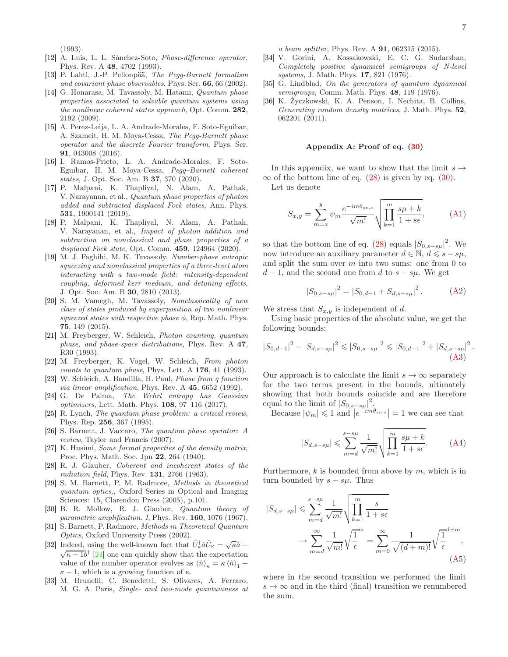(1993).

- <span id="page-6-0"></span>[12] A. Luis, L. L. Sánchez-Soto, Phase-difference operator, Phys. Rev. A 48, 4702 (1993).
- <span id="page-6-1"></span>[13] P. Lahti, J.-P. Pellonpää, The Pegg-Barnett formalism and covariant phase observables, Phys. Scr. 66, 66 (2002).
- [14] G. Honarasa, M. Tavassoly, M. Hatami, Quantum phase properties associated to solvable quantum systems using the nonlinear coherent states approach, Opt. Comm. 282, 2192 (2009).
- [15] A. Perez-Leija, L. A. Andrade-Morales, F. Soto-Eguibar, A. Szameit, H. M. Moya-Cessa, The Pegg-Barnett phase operator and the discrete Fourier transform, Phys. Scr. 91, 043008 (2016).
- <span id="page-6-2"></span>[16] I. Ramos-Prieto, L. A. Andrade-Morales, F. Soto-Eguibar, H. M. Moya-Cessa, Pegg–Barnett coherent states, J. Opt. Soc. Am. B 37, 370 (2020).
- <span id="page-6-3"></span>[17] P. Malpani, K. Thapliyal, N. Alam, A. Pathak, V. Narayanan, et al., Quantum phase properties of photon added and subtracted displaced Fock states, Ann. Phys. 531, 1900141 (2019).
- <span id="page-6-4"></span>[18] P. Malpani, K. Thapliyal, N. Alam, A. Pathak, V. Narayanan, et al., Impact of photon addition and subtraction on nonclassical and phase properties of a displaced Fock state, Opt. Comm. **459**, 124964 (2020).
- <span id="page-6-5"></span>[19] M. J. Faghihi, M. K. Tavassoly, Number-phase entropic squeezing and nonclassical properties of a three-level atom interacting with a two-mode field: intensity-dependent coupling, deformed kerr medium, and detuning effects, J. Opt. Soc. Am. B 30, 2810 (2013).
- <span id="page-6-6"></span>[20] S. M. Vamegh, M. Tavassoly, Nonclassicality of new class of states produced by superposition of two nonlinear squeezed states with respective phase  $\phi$ , Rep. Math. Phys. 75, 149 (2015).
- <span id="page-6-7"></span>[21] M. Freyberger, W. Schleich, Photon counting, quantum phase, and phase-space distributions, Phys. Rev. A 47, R30 (1993).
- <span id="page-6-8"></span>[22] M. Freyberger, K. Vogel, W. Schleich, From photon counts to quantum phase, Phys. Lett. A 176, 41 (1993).
- <span id="page-6-9"></span>[23] W. Schleich, A. Bandilla, H. Paul, Phase from q function via linear amplification, Phys. Rev. A 45, 6652 (1992).
- <span id="page-6-10"></span>[24] G. De Palma, The Wehrl entropy has Gaussian optimizers, Lett. Math. Phys. 108, 97–116 (2017).
- <span id="page-6-11"></span>[25] R. Lynch, The quantum phase problem: a critical review, Phys. Rep. 256, 367 (1995).
- <span id="page-6-12"></span>[26] S. Barnett, J. Vaccaro, The quantum phase operator: A review, Taylor and Francis (2007).
- <span id="page-6-13"></span>[27] K. Husimi, Some formal properties of the density matrix, Proc. Phys. Math. Soc. Jpn 22, 264 (1940).
- <span id="page-6-14"></span>[28] R. J. Glauber, Coherent and incoherent states of the radiation field, Phys. Rev. 131, 2766 (1963).
- <span id="page-6-15"></span>[29] S. M. Barnett, P. M. Radmore, Methods in theoretical quantum optics., Oxford Series in Optical and Imaging Sciences: 15, Clarendon Press (2005), p.101.
- <span id="page-6-16"></span>[30] B. R. Mollow, R. J. Glauber, Quantum theory of parametric amplification. I, Phys. Rev. 160, 1076 (1967).
- <span id="page-6-17"></span>[31] S. Barnett, P. Radmore, Methods in Theoretical Quantum Optics, Oxford University Press (2002).
- <span id="page-6-18"></span>[32] Indeed, using the well-known fact that  $\hat{U}^\dagger_\kappa \hat{a} \hat{U}_\kappa = \sqrt{\kappa} \hat{a} +$  $\sqrt{\kappa-1}\hat{b}^{\dagger}$  [\[24\]](#page-6-10) one can quickly show that the expectation value of the number operator evolves as  $\left\langle \hat{n}\right\rangle_\kappa =\kappa\left\langle \hat{n}\right\rangle_1 +$  $\kappa - 1$ , which is a growing function of  $\kappa$ .
- <span id="page-6-19"></span>[33] M. Brunelli, C. Benedetti, S. Olivares, A. Ferraro, M. G. A. Paris, Single- and two-mode quantumness at

a beam splitter, Phys. Rev. A 91, 062315 (2015).

- <span id="page-6-21"></span>[34] V. Gorini, A. Kossakowski, E. C. G. Sudarshan, Completely positive dynamical semigroups of N-level systems, J. Math. Phys. 17, 821 (1976).
- <span id="page-6-22"></span>[35] G. Lindblad, On the generators of quantum dynamical semigroups, Comm. Math. Phys. 48, 119 (1976).
- <span id="page-6-23"></span>[36] K. Życzkowski, K. A. Penson, I. Nechita, B. Collins, Generating random density matrices, J. Math. Phys.  $52$ , 062201 (2011).

### <span id="page-6-20"></span>Appendix A: Proof of eq. [\(30\)](#page-3-5)

In this appendix, we want to show that the limit  $s \rightarrow$  $\infty$  of the bottom line of eq. [\(28\)](#page-3-1) is given by eq. [\(30\)](#page-3-5).

Let us denote

$$
S_{x,y} = \sum_{m=x}^{y} \psi_m \frac{e^{-im\theta_{s\nu,s}}}{\sqrt{m!}} \sqrt{\prod_{k=1}^{m} \frac{s\mu+k}{1+s\epsilon}},
$$
 (A1)

so that the bottom line of eq. [\(28\)](#page-3-1) equals  $|S_{0,s-s\mu}|^2$ . We now introduce an auxiliary parameter  $d \in \mathbb{N}$ ,  $d \leqslant s - s\mu$ , and split the sum over  $m$  into two sums: one from 0 to  $d-1$ , and the second one from d to  $s - s\mu$ . We get

<span id="page-6-25"></span>
$$
|S_{0,s-s\mu}|^2 = |S_{0,d-1} + S_{d,s-s\mu}|^2.
$$
 (A2)

We stress that  $S_{x,y}$  is independent of d.

Using basic properties of the absolute value, we get the following bounds:

$$
\left|S_{0,d-1}\right|^2 - \left|S_{d,s-s\mu}\right|^2 \leqslant \left|S_{0,s-s\mu}\right|^2 \leqslant \left|S_{0,d-1}\right|^2 + \left|S_{d,s-s\mu}\right|^2.
$$
\n(A3)

Our approach is to calculate the limit  $s \to \infty$  separately for the two terms present in the bounds, ultimately showing that both bounds coincide and are therefore equal to the limit of  $|S_{0,s-s\mu}|^2$ .

Because  $|\psi_m| \leq 1$  and  $|e^{-im\theta_{s\nu,s}}| = 1$  we can see that

$$
|S_{d,s-s\mu}| \leqslant \sum_{m=d}^{s-s\mu} \frac{1}{\sqrt{m!}} \sqrt{\prod_{k=1}^{m} \frac{s\mu+k}{1+s\epsilon}}.
$$
 (A4)

Furthermore,  $k$  is bounded from above by  $m$ , which is in turn bounded by  $s - s\mu$ . Thus

$$
|S_{d,s-s\mu}| \leqslant \sum_{m=d}^{s-s\mu} \frac{1}{\sqrt{m!}} \sqrt{\prod_{k=1}^{m} \frac{s}{1+s\epsilon}}
$$

$$
\to \sum_{m=d}^{\infty} \frac{1}{\sqrt{m!}} \sqrt{\frac{1}{\epsilon}}^m = \sum_{m=0}^{\infty} \frac{1}{\sqrt{(d+m)!}} \sqrt{\frac{1}{\epsilon}}^{d+m}, \tag{A5}
$$

<span id="page-6-24"></span>where in the second transition we performed the limit  $s \to \infty$  and in the third (final) transition we renumbered the sum.